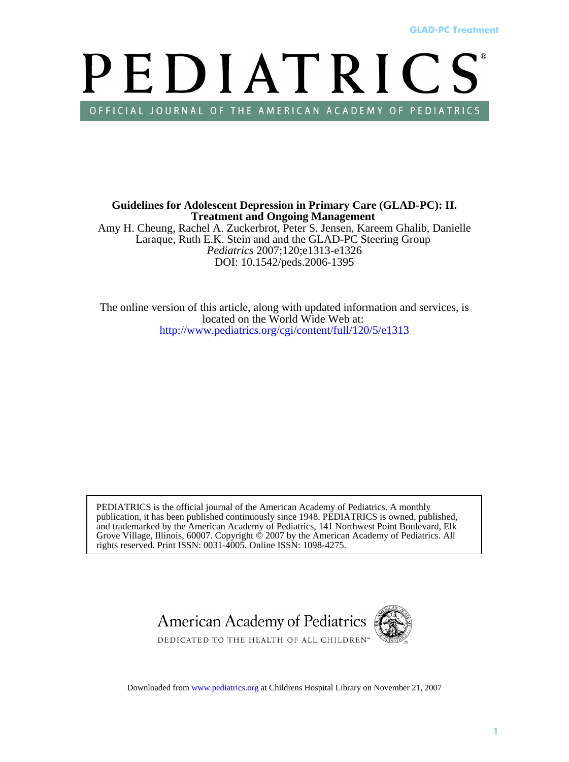# **GLAD-PC Treatment**<br>
PEDIATRICS<br>
PEDIATRICS<br>
D-PC): II.<br>
alib, Danielle<br>
roup<br>
d services, is<br>
diatrics. All<br>
21, 2007 PEDIATRICS OFFICIAL JOURNAL OF THE AMERICAN ACADEMY OF PEDIATRICS

DOI: 10.1542/peds.2006-1395 *Pediatrics* 2007;120;e1313-e1326 Laraque, Ruth E.K. Stein and and the GLAD-PC Steering Group Amy H. Cheung, Rachel A. Zuckerbrot, Peter S. Jensen, Kareem Ghalib, Danielle **Treatment and Ongoing Management Guidelines for Adolescent Depression in Primary Care (GLAD-PC): II.**

[http://www.pediatrics.org/cgi/content/full/120/](http://www.pediatrics.org/cgi/content/full/120/5/e1313)5/e1313 located on the World Wide Web at: The online version of this article, along with updated information and services, is

rights reserved. Print ISSN: 0031-4005. Online ISSN: 1098-4275. Grove Village, Illinois, 60007. Copyright © 2007 by the American Academy of Pediatrics. All and trademarked by the American Academy of Pediatrics, 141 Northwest Point Boulevard, Elk publication, it has been published continuously since 1948. PEDIATRICS is owned, published, PEDIATRICS is the official journal of the American Academy of Pediatrics. A monthly



Downlo[aded from www.ped](http://pediatrics.aappublications.org)iatrics.org at Childrens Hospital Library on November 21, 2007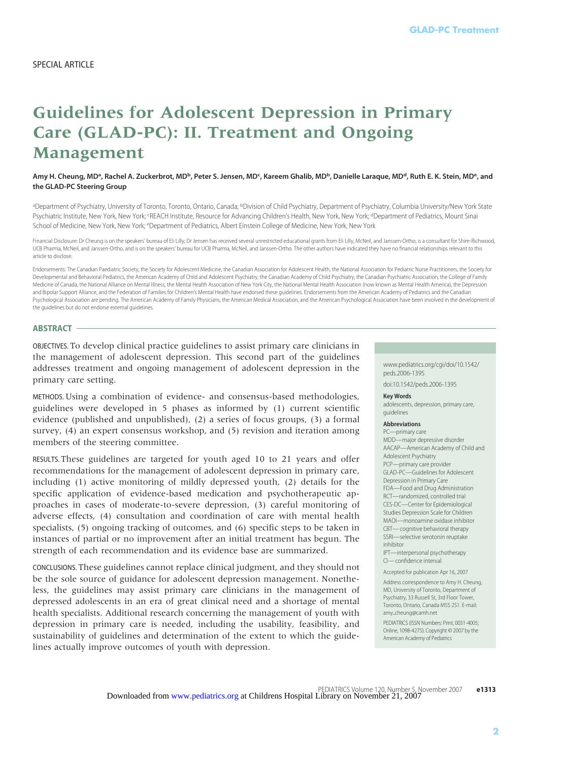# **Guidelines for Adolescent Depression in Primary Care (GLAD-PC): II. Treatment and Ongoing Management**

Amy H. Cheung, MDª, Rachel A. Zuckerbrot, MD<sup>ь</sup>, Peter S. Jensen, MD**¢, Kareem Ghalib, MD**ʰ, Danielle Laraque, MD<sup>d</sup>, Ruth E. K. Stein, MDª, and **the GLAD-PC Steering Group**

a Department of Psychiatry, University of Toronto, Toronto, Ontario, Canada; bDivision of Child Psychiatry, Department of Psychiatry, Columbia University/New York State Psychiatric Institute, New York, New York; <sup>c</sup>REACH Institute, Resource for Advancing Children's Health, New York; New York; <sup>d</sup>Department of Pediatrics, Mount Sinai School of Medicine, New York, New York; <sup>e</sup>Department of Pediatrics, Albert Einstein College of Medicine, New York, New York

Financial Disclosure: Dr Cheung is on the speakers' bureau of Eli Lilly; Dr Jensen has received several unrestricted educational grants from Eli Lilly, McNeil, and Janssen-Ortho, is a consultant for Shire-Richwood, UCB Pharma, McNeil, and Janssen-Ortho, and is on the speakers' bureau for UCB Pharma, McNeil, and Janssen-Ortho. The other authors have indicated they have no financial relationships relevant to this article to disclose.

Endorsements: The Canadian Paediatric Society, the Society for Adolescent Medicine, the Canadian Association for Adolescent Health, the National Association for Pediatric Nurse Practitioners, the Society for Developmental and Behavioral Pediatrics, the American Academy of Child and Adolescent Psychiatry, the Canadian Academy of Child Psychiatry, the Canadian Psychiatric Association, the College of Family Medicine of Canada, the National Alliance on Mental Illness, the Mental Health Association of New York City, the National Mental Health Association (now known as Mental Health America), the Depression and Bipolar Support Alliance, and the Federation of Families for Children's Mental Health have endorsed these guidelines. Endorsements from the American Academy of Pediatrics and the Canadian Psychological Association are pending. The American Academy of Family Physicians, the American Medical Association, and the American Psychological Association have been involved in the development of the guidelines but do not endorse external guidelines.

### **ABSTRACT**

OBJECTIVES. To develop clinical practice guidelines to assist primary care clinicians in the management of adolescent depression. This second part of the guidelines addresses treatment and ongoing management of adolescent depression in the primary care setting.

METHODS. Using a combination of evidence- and consensus-based methodologies, guidelines were developed in 5 phases as informed by (1) current scientific evidence (published and unpublished), (2) a series of focus groups, (3) a formal survey, (4) an expert consensus workshop, and (5) revision and iteration among members of the steering committee.

RESULTS. These guidelines are targeted for youth aged 10 to 21 years and offer recommendations for the management of adolescent depression in primary care, including (1) active monitoring of mildly depressed youth, (2) details for the specific application of evidence-based medication and psychotherapeutic approaches in cases of moderate-to-severe depression, (3) careful monitoring of adverse effects, (4) consultation and coordination of care with mental health specialists, (5) ongoing tracking of outcomes, and (6) specific steps to be taken in instances of partial or no improvement after an initial treatment has begun. The strength of each recommendation and its evidence base are summarized.

CONCLUSIONS. These guidelines cannot replace clinical judgment, and they should not be the sole source of guidance for adolescent depression management. Nonetheless, the guidelines may assist primary care clinicians in the management of depressed adolescents in an era of great clinical need and a shortage of mental health specialists. Additional research concerning the management of youth with depression in primary care is needed, including the usability, feasibility, and sustainability of guidelines and determination of the extent to which the guidelines actually improve outcomes of youth with depression.

www.pediatrics.org/cgi/doi/10.1542/ peds.2006-1395 doi:10.1542/peds.2006-1395

### **Key Words**

adolescents, depression, primary care, guidelines

### **Abbreviations**

PC—primary care MDD—major depressive disorder AACAP—American Academy of Child and Adolescent Psychiatry PCP—primary care provider GLAD-PC—Guidelines for Adolescent Depression in Primary Care FDA—Food and Drug Administration RCT—randomized, controlled trial CES-DC—Center for Epidemiological Studies Depression Scale for Children MAOI—monoamine oxidase inhibitor CBT— cognitive behavioral therapy SSRI—selective serotonin reuptake inhibitor IPT—interpersonal psychotherapy **GLAD-PC Treatment**<br> **F**<br> **S**<br> **Ruth E. K. Stein, MDe, and<br>
blia University/New York State<br>
the frediatrics, Mount Sinai<br>
ho, is a consultant for Shire-Richwood,<br>
rich as a consultant for Shire-Richwood,<br>
rich association,** 

CI— confidence interval

Accepted for publication Apr 16, 2007

Address correspondence to Amy H. Cheung, MD, University of Toronto, Department of Psychiatry, 33 Russell St, 3rd Floor Tower, Toronto, Ontario, Canada M5S 2S1. E-mail: amycheung@camh.net

PEDIATRICS (ISSN Numbers: Print, 0031-4005; Online, 1098-4275). Copyright © 2007 by the American Academy of Pediatrics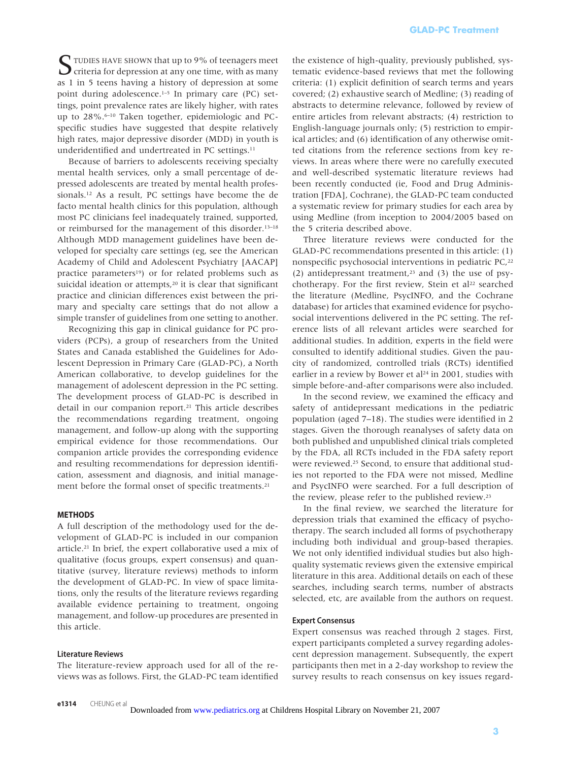STUDIES HAVE SHOWN that up to 9% of teenagers meet<br>criteria for depression at any one time, with as many as 1 in 5 teens having a history of depression at some point during adolescence.<sup>1–5</sup> In primary care (PC) settings, point prevalence rates are likely higher, with rates up to 28%.<sup>6-10</sup> Taken together, epidemiologic and PCspecific studies have suggested that despite relatively high rates, major depressive disorder (MDD) in youth is underidentified and undertreated in PC settings.<sup>11</sup>

Because of barriers to adolescents receiving specialty mental health services, only a small percentage of depressed adolescents are treated by mental health professionals.12 As a result, PC settings have become the de facto mental health clinics for this population, although most PC clinicians feel inadequately trained, supported, or reimbursed for the management of this disorder.13–18 Although MDD management guidelines have been developed for specialty care settings (eg, see the American Academy of Child and Adolescent Psychiatry [AACAP] practice parameters<sup>19</sup>) or for related problems such as suicidal ideation or attempts,<sup>20</sup> it is clear that significant practice and clinician differences exist between the primary and specialty care settings that do not allow a simple transfer of guidelines from one setting to another.

Recognizing this gap in clinical guidance for PC providers (PCPs), a group of researchers from the United States and Canada established the Guidelines for Adolescent Depression in Primary Care (GLAD-PC), a North American collaborative, to develop guidelines for the management of adolescent depression in the PC setting. The development process of GLAD-PC is described in detail in our companion report.21 This article describes the recommendations regarding treatment, ongoing management, and follow-up along with the supporting empirical evidence for those recommendations. Our companion article provides the corresponding evidence and resulting recommendations for depression identification, assessment and diagnosis, and initial management before the formal onset of specific treatments.<sup>21</sup>

### **METHODS**

A full description of the methodology used for the development of GLAD-PC is included in our companion article.21 In brief, the expert collaborative used a mix of qualitative (focus groups, expert consensus) and quantitative (survey, literature reviews) methods to inform the development of GLAD-PC. In view of space limitations, only the results of the literature reviews regarding available evidence pertaining to treatment, ongoing management, and follow-up procedures are presented in this article.

### **Literature Reviews**

The literature-review approach used for all of the reviews was as follows. First, the GLAD-PC team identified the existence of high-quality, previously published, systematic evidence-based reviews that met the following criteria: (1) explicit definition of search terms and years covered; (2) exhaustive search of Medline; (3) reading of abstracts to determine relevance, followed by review of entire articles from relevant abstracts; (4) restriction to English-language journals only; (5) restriction to empirical articles; and (6) identification of any otherwise omitted citations from the reference sections from key reviews. In areas where there were no carefully executed and well-described systematic literature reviews had been recently conducted (ie, Food and Drug Administration [FDA], Cochrane), the GLAD-PC team conducted a systematic review for primary studies for each area by using Medline (from inception to 2004/2005 based on the 5 criteria described above. **GLAD-PC Treatment**<br>previously published, <br>ws that met the follow<br>of search terms and yo<br>of search terms and yo<br>of Medline; (3) readin<br>acc. followed by review<br>abstracts; (4) restriction<br>points of any otherwise on<br>comparis

Three literature reviews were conducted for the GLAD-PC recommendations presented in this article: (1) nonspecific psychosocial interventions in pediatric PC,<sup>22</sup> (2) antidepressant treatment, $23$  and (3) the use of psychotherapy. For the first review, Stein et  $al^{22}$  searched the literature (Medline, PsycINFO, and the Cochrane database) for articles that examined evidence for psychosocial interventions delivered in the PC setting. The reference lists of all relevant articles were searched for additional studies. In addition, experts in the field were consulted to identify additional studies. Given the paucity of randomized, controlled trials (RCTs) identified earlier in a review by Bower et al<sup>24</sup> in 2001, studies with simple before-and-after comparisons were also included.

In the second review, we examined the efficacy and safety of antidepressant medications in the pediatric population (aged 7–18). The studies were identified in 2 stages. Given the thorough reanalyses of safety data on both published and unpublished clinical trials completed by the FDA, all RCTs included in the FDA safety report were reviewed.25 Second, to ensure that additional studies not reported to the FDA were not missed, Medline and PsycINFO were searched. For a full description of the review, please refer to the published review.23

In the final review, we searched the literature for depression trials that examined the efficacy of psychotherapy. The search included all forms of psychotherapy including both individual and group-based therapies. We not only identified individual studies but also highquality systematic reviews given the extensive empirical literature in this area. Additional details on each of these searches, including search terms, number of abstracts selected, etc, are available from the authors on request.

### **Expert Consensus**

Expert consensus was reached through 2 stages. First, expert participants completed a survey regarding adolescent depression management. Subsequently, the expert participants then met in a 2-day workshop to review the survey results to reach consensus on key issues regard-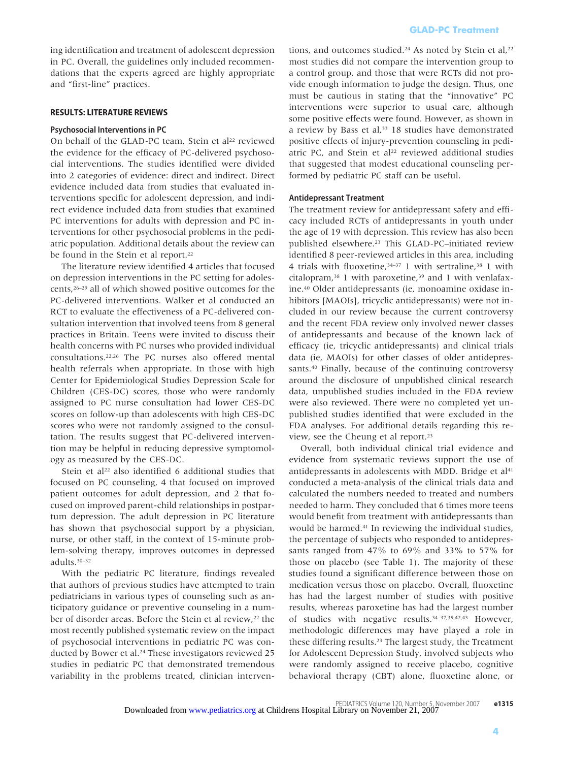ing identification and treatment of adolescent depression in PC. Overall, the guidelines only included recommendations that the experts agreed are highly appropriate and "first-line" practices.

### **RESULTS: LITERATURE REVIEWS**

### **Psychosocial Interventions in PC**

On behalf of the GLAD-PC team, Stein et al<sup>22</sup> reviewed the evidence for the efficacy of PC-delivered psychosocial interventions. The studies identified were divided into 2 categories of evidence: direct and indirect. Direct evidence included data from studies that evaluated interventions specific for adolescent depression, and indirect evidence included data from studies that examined PC interventions for adults with depression and PC interventions for other psychosocial problems in the pediatric population. Additional details about the review can be found in the Stein et al report.<sup>22</sup>

The literature review identified 4 articles that focused on depression interventions in the PC setting for adolescents,26–29 all of which showed positive outcomes for the PC-delivered interventions. Walker et al conducted an RCT to evaluate the effectiveness of a PC-delivered consultation intervention that involved teens from 8 general practices in Britain. Teens were invited to discuss their health concerns with PC nurses who provided individual consultations.22,26 The PC nurses also offered mental health referrals when appropriate. In those with high Center for Epidemiological Studies Depression Scale for Children (CES-DC) scores, those who were randomly assigned to PC nurse consultation had lower CES-DC scores on follow-up than adolescents with high CES-DC scores who were not randomly assigned to the consultation. The results suggest that PC-delivered intervention may be helpful in reducing depressive symptomology as measured by the CES-DC.

Stein et al<sup>22</sup> also identified 6 additional studies that focused on PC counseling, 4 that focused on improved patient outcomes for adult depression, and 2 that focused on improved parent-child relationships in postpartum depression. The adult depression in PC literature has shown that psychosocial support by a physician, nurse, or other staff, in the context of 15-minute problem-solving therapy, improves outcomes in depressed adults.30–32

With the pediatric PC literature, findings revealed that authors of previous studies have attempted to train pediatricians in various types of counseling such as anticipatory guidance or preventive counseling in a number of disorder areas. Before the Stein et al review,<sup>22</sup> the most recently published systematic review on the impact of psychosocial interventions in pediatric PC was conducted by Bower et al.<sup>24</sup> These investigators reviewed 25 studies in pediatric PC that demonstrated tremendous variability in the problems treated, clinician interven-

tions, and outcomes studied.<sup>24</sup> As noted by Stein et al,<sup>22</sup> most studies did not compare the intervention group to a control group, and those that were RCTs did not provide enough information to judge the design. Thus, one must be cautious in stating that the "innovative" PC interventions were superior to usual care, although some positive effects were found. However, as shown in a review by Bass et al,<sup>33</sup> 18 studies have demonstrated positive effects of injury-prevention counseling in pediatric PC, and Stein et al<sup>22</sup> reviewed additional studies that suggested that modest educational counseling performed by pediatric PC staff can be useful.

### **Antidepressant Treatment**

The treatment review for antidepressant safety and efficacy included RCTs of antidepressants in youth under the age of 19 with depression. This review has also been published elsewhere.<sup>23</sup> This GLAD-PC-initiated review identified 8 peer-reviewed articles in this area, including 4 trials with fluoxetine,34–37 1 with sertraline,38 1 with citalopram,<sup>38</sup> 1 with paroxetine,<sup>39</sup> and 1 with venlafaxine.40 Older antidepressants (ie, monoamine oxidase inhibitors [MAOIs], tricyclic antidepressants) were not included in our review because the current controversy and the recent FDA review only involved newer classes of antidepressants and because of the known lack of efficacy (ie, tricyclic antidepressants) and clinical trials data (ie, MAOIs) for other classes of older antidepressants.40 Finally, because of the continuing controversy around the disclosure of unpublished clinical research data, unpublished studies included in the FDA review were also reviewed. There were no completed yet unpublished studies identified that were excluded in the FDA analyses. For additional details regarding this review, see the Cheung et al report.23 **GLAD-PC Treatment**<br>As noted by Stein et the intervention group at were RCTs did not p dydge the design. Thus, that the "innovative" to usual care, althou to the different of the different of the step of the different of

Overall, both individual clinical trial evidence and evidence from systematic reviews support the use of antidepressants in adolescents with MDD. Bridge et al<sup>41</sup> conducted a meta-analysis of the clinical trials data and calculated the numbers needed to treated and numbers needed to harm. They concluded that 6 times more teens would benefit from treatment with antidepressants than would be harmed.41 In reviewing the individual studies, the percentage of subjects who responded to antidepressants ranged from 47% to 69% and 33% to 57% for those on placebo (see Table 1). The majority of these studies found a significant difference between those on medication versus those on placebo. Overall, fluoxetine has had the largest number of studies with positive results, whereas paroxetine has had the largest number of studies with negative results.34–37,39,42,43 However, methodologic differences may have played a role in these differing results.23 The largest study, the Treatment for Adolescent Depression Study, involved subjects who were randomly assigned to receive placebo, cognitive behavioral therapy (CBT) alone, fluoxetine alone, or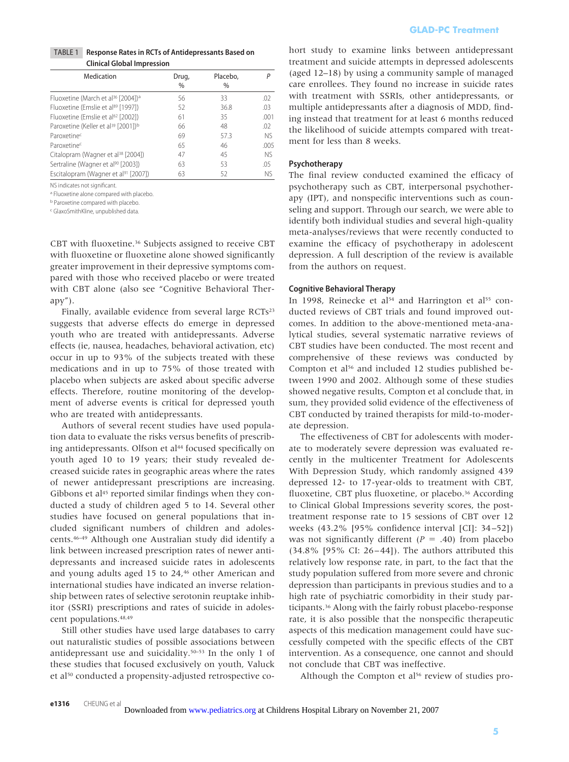### TABLE 1 **Response Rates in RCTs of Antidepressants Based on Clinical Global Impression**

| Medication                                                  | Drug,<br>$\%$ | Placebo,<br>$\frac{0}{0}$ |      |
|-------------------------------------------------------------|---------------|---------------------------|------|
| Fluoxetine (March et al <sup>36</sup> [2004]) <sup>a</sup>  | 56            | 33                        | .02  |
| Fluoxetine (Emslie et al <sup>89</sup> [1997])              | 52            | 36.8                      | .03  |
| Fluoxetine (Emslie et al <sup>62</sup> [2002])              | 61            | 35                        | .001 |
| Paroxetine (Keller et al <sup>39</sup> [2001]) <sup>b</sup> | 66            | 48                        | .02  |
| Paroxetine <sup>c</sup>                                     | 69            | 57.3                      | NS.  |
| Paroxetinec                                                 | 65            | 46                        | .005 |
| Citalopram (Wagner et al <sup>38</sup> [2004])              | 47            | 45                        | NS.  |
| Sertraline (Wagner et al <sup>90</sup> [2003])              | 63            | 53                        | .05  |
| Escitalopram (Wagner et al <sup>91</sup> [2007])            | 63            | 52                        | NS.  |

NS indicates not significant.

a Fluoxetine alone compared with placebo.

b Paroxetine compared with placebo.

c GlaxoSmithKline, unpublished data.

CBT with fluoxetine.36 Subjects assigned to receive CBT with fluoxetine or fluoxetine alone showed significantly greater improvement in their depressive symptoms compared with those who received placebo or were treated with CBT alone (also see "Cognitive Behavioral Therapy").

Finally, available evidence from several large RCTs<sup>23</sup> suggests that adverse effects do emerge in depressed youth who are treated with antidepressants. Adverse effects (ie, nausea, headaches, behavioral activation, etc) occur in up to 93% of the subjects treated with these medications and in up to 75% of those treated with placebo when subjects are asked about specific adverse effects. Therefore, routine monitoring of the development of adverse events is critical for depressed youth who are treated with antidepressants.

Authors of several recent studies have used population data to evaluate the risks versus benefits of prescribing antidepressants. Olfson et al<sup>44</sup> focused specifically on youth aged 10 to 19 years; their study revealed decreased suicide rates in geographic areas where the rates of newer antidepressant prescriptions are increasing. Gibbons et al<sup>45</sup> reported similar findings when they conducted a study of children aged 5 to 14. Several other studies have focused on general populations that included significant numbers of children and adolescents.46–49 Although one Australian study did identify a link between increased prescription rates of newer antidepressants and increased suicide rates in adolescents and young adults aged 15 to 24,46 other American and international studies have indicated an inverse relationship between rates of selective serotonin reuptake inhibitor (SSRI) prescriptions and rates of suicide in adolescent populations.48,49

Still other studies have used large databases to carry out naturalistic studies of possible associations between antidepressant use and suicidality.50–53 In the only 1 of these studies that focused exclusively on youth, Valuck et al50 conducted a propensity-adjusted retrospective cohort study to examine links between antidepressant treatment and suicide attempts in depressed adolescents (aged 12–18) by using a community sample of managed care enrollees. They found no increase in suicide rates with treatment with SSRIs, other antidepressants, or multiple antidepressants after a diagnosis of MDD, finding instead that treatment for at least 6 months reduced the likelihood of suicide attempts compared with treatment for less than 8 weeks.

### **Psychotherapy**

The final review conducted examined the efficacy of psychotherapy such as CBT, interpersonal psychotherapy (IPT), and nonspecific interventions such as counseling and support. Through our search, we were able to identify both individual studies and several high-quality meta-analyses/reviews that were recently conducted to examine the efficacy of psychotherapy in adolescent depression. A full description of the review is available from the authors on request.

### **Cognitive Behavioral Therapy**

In 1998, Reinecke et al<sup>54</sup> and Harrington et al<sup>55</sup> conducted reviews of CBT trials and found improved outcomes. In addition to the above-mentioned meta-analytical studies, several systematic narrative reviews of CBT studies have been conducted. The most recent and comprehensive of these reviews was conducted by Compton et al<sup>56</sup> and included 12 studies published between 1990 and 2002. Although some of these studies showed negative results, Compton et al conclude that, in sum, they provided solid evidence of the effectiveness of CBT conducted by trained therapists for mild-to-moderate depression.

The effectiveness of CBT for adolescents with moderate to moderately severe depression was evaluated recently in the multicenter Treatment for Adolescents With Depression Study, which randomly assigned 439 depressed 12- to 17-year-olds to treatment with CBT, fluoxetine, CBT plus fluoxetine, or placebo.<sup>36</sup> According to Clinical Global Impressions severity scores, the posttreatment response rate to 15 sessions of CBT over 12 weeks (43.2% [95% confidence interval [CI]: 34 –52]) was not significantly different  $(P = .40)$  from placebo  $(34.8\%$  [95% CI: 26-44]). The authors attributed this relatively low response rate, in part, to the fact that the study population suffered from more severe and chronic depression than participants in previous studies and to a high rate of psychiatric comorbidity in their study participants.36 Along with the fairly robust placebo-response rate, it is also possible that the nonspecific therapeutic aspects of this medication management could have successfully competed with the specific effects of the CBT intervention. As a consequence, one cannot and should not conclude that CBT was ineffective. **GLAD-PC Treatment5**

Although the Compton et  $al<sup>56</sup>$  review of studies pro-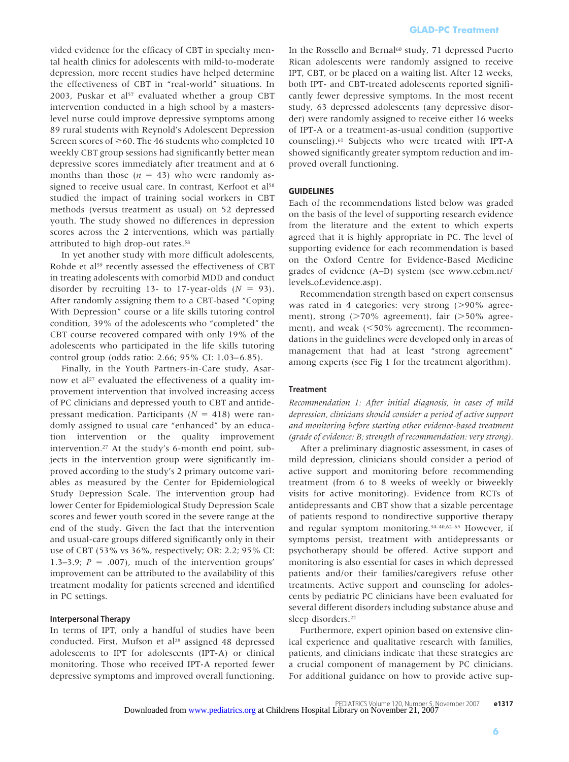vided evidence for the efficacy of CBT in specialty mental health clinics for adolescents with mild-to-moderate depression, more recent studies have helped determine the effectiveness of CBT in "real-world" situations. In 2003, Puskar et al<sup>57</sup> evaluated whether a group CBT intervention conducted in a high school by a masterslevel nurse could improve depressive symptoms among 89 rural students with Reynold's Adolescent Depression Screen scores of  $\geq$  60. The 46 students who completed 10 weekly CBT group sessions had significantly better mean depressive scores immediately after treatment and at 6 months than those  $(n = 43)$  who were randomly assigned to receive usual care. In contrast, Kerfoot et al<sup>58</sup> studied the impact of training social workers in CBT methods (versus treatment as usual) on 52 depressed youth. The study showed no differences in depression scores across the 2 interventions, which was partially attributed to high drop-out rates.<sup>58</sup>

In yet another study with more difficult adolescents, Rohde et al<sup>59</sup> recently assessed the effectiveness of CBT in treating adolescents with comorbid MDD and conduct disorder by recruiting 13- to 17-year-olds  $(N = 93)$ . After randomly assigning them to a CBT-based "Coping With Depression" course or a life skills tutoring control condition, 39% of the adolescents who "completed" the CBT course recovered compared with only 19% of the adolescents who participated in the life skills tutoring control group (odds ratio: 2.66; 95% CI: 1.03–6.85).

Finally, in the Youth Partners-in-Care study, Asarnow et al<sup>27</sup> evaluated the effectiveness of a quality improvement intervention that involved increasing access of PC clinicians and depressed youth to CBT and antidepressant medication. Participants ( $N = 418$ ) were randomly assigned to usual care "enhanced" by an education intervention or the quality improvement intervention.27 At the study's 6-month end point, subjects in the intervention group were significantly improved according to the study's 2 primary outcome variables as measured by the Center for Epidemiological Study Depression Scale. The intervention group had lower Center for Epidemiological Study Depression Scale scores and fewer youth scored in the severe range at the end of the study. Given the fact that the intervention and usual-care groups differed significantly only in their use of CBT (53% vs 36%, respectively; OR: 2.2; 95% CI: 1.3–3.9;  $P = .007$ ), much of the intervention groups' improvement can be attributed to the availability of this treatment modality for patients screened and identified in PC settings.

### **Interpersonal Therapy**

In terms of IPT, only a handful of studies have been conducted. First, Mufson et al<sup>28</sup> assigned 48 depressed adolescents to IPT for adolescents (IPT-A) or clinical monitoring. Those who received IPT-A reported fewer depressive symptoms and improved overall functioning.

In the Rossello and Bernal<sup>60</sup> study, 71 depressed Puerto Rican adolescents were randomly assigned to receive IPT, CBT, or be placed on a waiting list. After 12 weeks, both IPT- and CBT-treated adolescents reported significantly fewer depressive symptoms. In the most recent study, 63 depressed adolescents (any depressive disorder) were randomly assigned to receive either 16 weeks of IPT-A or a treatment-as-usual condition (supportive counseling).61 Subjects who were treated with IPT-A showed significantly greater symptom reduction and improved overall functioning.

### **GUIDELINES**

Each of the recommendations listed below was graded on the basis of the level of supporting research evidence from the literature and the extent to which experts agreed that it is highly appropriate in PC. The level of supporting evidence for each recommendation is based on the Oxford Centre for Evidence-Based Medicine grades of evidence (A–D) system (see www.cebm.net/ levels\_of\_evidence.asp).

Recommendation strength based on expert consensus was rated in 4 categories: very strong  $(>90\%$  agreement), strong  $($ >70% agreement), fair  $($ >50% agreement), and weak  $(<50\%$  agreement). The recommendations in the guidelines were developed only in areas of management that had at least "strong agreement" among experts (see Fig 1 for the treatment algorithm).

### **Treatment**

*Recommendation 1: After initial diagnosis, in cases of mild depression, clinicians should consider a period of active support and monitoring before starting other evidence-based treatment (grade of evidence: B; strength of recommendation: very strong).*

After a preliminary diagnostic assessment, in cases of mild depression, clinicians should consider a period of active support and monitoring before recommending treatment (from 6 to 8 weeks of weekly or biweekly visits for active monitoring). Evidence from RCTs of antidepressants and CBT show that a sizable percentage of patients respond to nondirective supportive therapy and regular symptom monitoring.34–40,62–65 However, if symptoms persist, treatment with antidepressants or psychotherapy should be offered. Active support and monitoring is also essential for cases in which depressed patients and/or their families/caregivers refuse other treatments. Active support and counseling for adolescents by pediatric PC clinicians have been evaluated for several different disorders including substance abuse and sleep disorders.22 **GLAD-PC Treatment**<br>tudy, 71 depressed Puomly assigned to receating list. After 12 we<br>olescents reported sign<br>toms. In the most reconstrates (any depressive different of corrective considers of corrective different of weak

Furthermore, expert opinion based on extensive clinical experience and qualitative research with families, patients, and clinicians indicate that these strategies are a crucial component of management by PC clinicians. For additional guidance on how to provide active sup-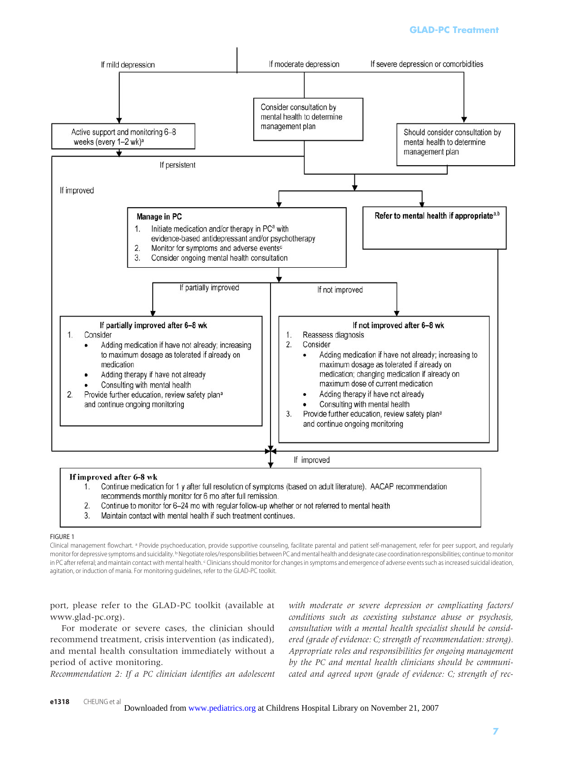## **GLAD-PC Treatment**



- Continue to monitor for 6-24 mo with regular follow-up whether or not referred to mental health  $2.$
- Maintain contact with mental health if such treatment continues. 3.

### FIGURE 1

Clinical management flowchart. <sup>a</sup> Provide psychoeducation, provide supportive counseling, facilitate parental and patient self-management, refer for peer support, and regularly monitor for depressive symptoms and suicidality. <sup>b</sup> Negotiate roles/responsibilities between PC and mental health and designate case coordination responsibilities; continue to monitor in PC after referral; and maintain contact with mental health. <sup>c</sup> Clinicians should monitor for changes in symptoms and emergence of adverse events such as increased suicidal ideation, agitation, or induction of mania. For monitoring guidelines, refer to the GLAD-PC toolkit.

port, please refer to the GLAD-PC toolkit (available at www.glad-pc.org).

For moderate or severe cases, the clinician should recommend treatment, crisis intervention (as indicated), and mental health consultation immediately without a period of active monitoring.

*Recommendation 2: If a PC clinician identifies an adolescent*

*with moderate or severe depression or complicating factors/ conditions such as coexisting substance abuse or psychosis, consultation with a mental health specialist should be considered (grade of evidence: C; strength of recommendation: strong). Appropriate roles and responsibilities for ongoing management by the PC and mental health clinicians should be communicated and agreed upon (grade of evidence: C; strength of rec-*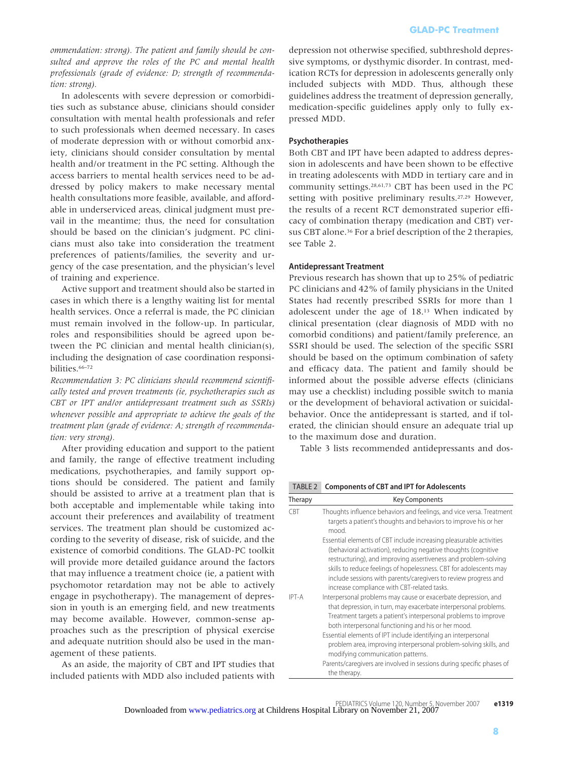*ommendation: strong). The patient and family should be consulted and approve the roles of the PC and mental health professionals (grade of evidence: D; strength of recommendation: strong).*

In adolescents with severe depression or comorbidities such as substance abuse, clinicians should consider consultation with mental health professionals and refer to such professionals when deemed necessary. In cases of moderate depression with or without comorbid anxiety, clinicians should consider consultation by mental health and/or treatment in the PC setting. Although the access barriers to mental health services need to be addressed by policy makers to make necessary mental health consultations more feasible, available, and affordable in underserviced areas, clinical judgment must prevail in the meantime; thus, the need for consultation should be based on the clinician's judgment. PC clinicians must also take into consideration the treatment preferences of patients/families, the severity and urgency of the case presentation, and the physician's level of training and experience.

Active support and treatment should also be started in cases in which there is a lengthy waiting list for mental health services. Once a referral is made, the PC clinician must remain involved in the follow-up. In particular, roles and responsibilities should be agreed upon between the PC clinician and mental health clinician(s), including the designation of case coordination responsibilities.66–72

*Recommendation 3: PC clinicians should recommend scientifically tested and proven treatments (ie, psychotherapies such as CBT or IPT and/or antidepressant treatment such as SSRIs) whenever possible and appropriate to achieve the goals of the treatment plan (grade of evidence: A; strength of recommendation: very strong).*

After providing education and support to the patient and family, the range of effective treatment including medications, psychotherapies, and family support options should be considered. The patient and family should be assisted to arrive at a treatment plan that is both acceptable and implementable while taking into account their preferences and availability of treatment services. The treatment plan should be customized according to the severity of disease, risk of suicide, and the existence of comorbid conditions. The GLAD-PC toolkit will provide more detailed guidance around the factors that may influence a treatment choice (ie, a patient with psychomotor retardation may not be able to actively engage in psychotherapy). The management of depression in youth is an emerging field, and new treatments may become available. However, common-sense approaches such as the prescription of physical exercise and adequate nutrition should also be used in the management of these patients.

As an aside, the majority of CBT and IPT studies that included patients with MDD also included patients with

### **Psychotherapies**

### **Antidepressant Treatment**

TABLE 2 **Components of CBT and IPT for Adolescents**

|                    | <b>GLAD-PC Treatment</b>                                                                                                                                                                                                                                                                                                                                                                                                                                                                                                                                                                                                                                                                                                                                                                                                                                                                                                                                                             |       |
|--------------------|--------------------------------------------------------------------------------------------------------------------------------------------------------------------------------------------------------------------------------------------------------------------------------------------------------------------------------------------------------------------------------------------------------------------------------------------------------------------------------------------------------------------------------------------------------------------------------------------------------------------------------------------------------------------------------------------------------------------------------------------------------------------------------------------------------------------------------------------------------------------------------------------------------------------------------------------------------------------------------------|-------|
| pressed MDD.       | depression not otherwise specified, subthreshold depres-<br>sive symptoms, or dysthymic disorder. In contrast, med-<br>ication RCTs for depression in adolescents generally only<br>included subjects with MDD. Thus, although these<br>guidelines address the treatment of depression generally,<br>medication-specific guidelines apply only to fully ex-                                                                                                                                                                                                                                                                                                                                                                                                                                                                                                                                                                                                                          |       |
| see Table 2.       | Psychotherapies<br>Both CBT and IPT have been adapted to address depres-<br>sion in adolescents and have been shown to be effective<br>in treating adolescents with MDD in tertiary care and in<br>community settings. <sup>28,61,73</sup> CBT has been used in the PC<br>setting with positive preliminary results. <sup>27,29</sup> However,<br>the results of a recent RCT demonstrated superior effi-<br>cacy of combination therapy (medication and CBT) ver-<br>sus CBT alone. <sup>36</sup> For a brief description of the 2 therapies,                                                                                                                                                                                                                                                                                                                                                                                                                                       |       |
|                    | <b>Antidepressant Treatment</b><br>Previous research has shown that up to 25% of pediatric<br>PC clinicians and 42% of family physicians in the United<br>States had recently prescribed SSRIs for more than 1<br>adolescent under the age of 18. <sup>13</sup> When indicated by<br>clinical presentation (clear diagnosis of MDD with no<br>comorbid conditions) and patient/family preference, an<br>SSRI should be used. The selection of the specific SSRI<br>should be based on the optimum combination of safety<br>and efficacy data. The patient and family should be<br>informed about the possible adverse effects (clinicians<br>may use a checklist) including possible switch to mania<br>or the development of behavioral activation or suicidal-<br>behavior. Once the antidepressant is started, and if tol-<br>erated, the clinician should ensure an adequate trial up<br>to the maximum dose and duration.<br>Table 3 lists recommended antidepressants and dos- |       |
| TABLE <sub>2</sub> | <b>Components of CBT and IPT for Adolescents</b>                                                                                                                                                                                                                                                                                                                                                                                                                                                                                                                                                                                                                                                                                                                                                                                                                                                                                                                                     |       |
| Therapy            | <b>Key Components</b>                                                                                                                                                                                                                                                                                                                                                                                                                                                                                                                                                                                                                                                                                                                                                                                                                                                                                                                                                                |       |
| CBT                | Thoughts influence behaviors and feelings, and vice versa. Treatment<br>targets a patient's thoughts and behaviors to improve his or her                                                                                                                                                                                                                                                                                                                                                                                                                                                                                                                                                                                                                                                                                                                                                                                                                                             |       |
| IPT-A              | mood.<br>Essential elements of CBT include increasing pleasurable activities<br>(behavioral activation), reducing negative thoughts (cognitive<br>restructuring), and improving assertiveness and problem-solving<br>skills to reduce feelings of hopelessness. CBT for adolescents may<br>include sessions with parents/caregivers to review progress and<br>increase compliance with CBT-related tasks.<br>Interpersonal problems may cause or exacerbate depression, and<br>that depression, in turn, may exacerbate interpersonal problems.<br>Treatment targets a patient's interpersonal problems to improve<br>both interpersonal functioning and his or her mood.                                                                                                                                                                                                                                                                                                            |       |
|                    | Essential elements of IPT include identifying an interpersonal<br>problem area, improving interpersonal problem-solving skills, and<br>modifying communication patterns.<br>Parents/caregivers are involved in sessions during specific phases of<br>the therapy.                                                                                                                                                                                                                                                                                                                                                                                                                                                                                                                                                                                                                                                                                                                    |       |
|                    | PEDIATRICS Volume 120, Number 5, November 2007<br>Irens Hospital Library on November 21, 2007                                                                                                                                                                                                                                                                                                                                                                                                                                                                                                                                                                                                                                                                                                                                                                                                                                                                                        | e1319 |
|                    |                                                                                                                                                                                                                                                                                                                                                                                                                                                                                                                                                                                                                                                                                                                                                                                                                                                                                                                                                                                      |       |

PEDIATRICS Volume 120, Number 5, November 2007 **e1319** Downloaded from www.pediatrics.org at Childrens Hospital Library on November 21, 2007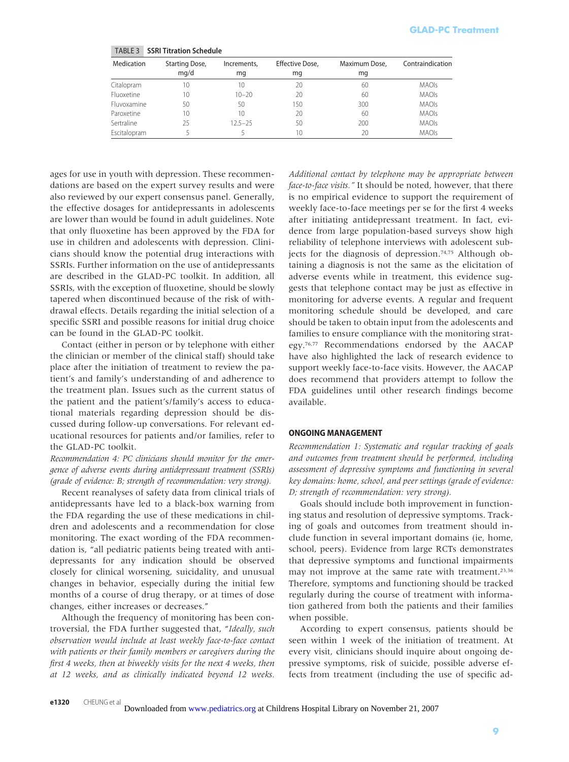| <b>Medication</b> | Starting Dose, | Increments, | Effective Dose, | Maximum Dose, | Contraindication |
|-------------------|----------------|-------------|-----------------|---------------|------------------|
|                   | mq/d           | mg          | mg              | mg            |                  |
| Citalopram        | 10             | 10          | 20              | 60            | <b>MAOIs</b>     |
| Fluoxetine        | 10             | $10 - 20$   | 20              | 60            | <b>MAOIs</b>     |
| Fluvoxamine       | 50             | 50          | 150             | 300           | <b>MAOIs</b>     |
| Paroxetine        | 10             | 10          | 20              | 60            | <b>MAOIs</b>     |
| Sertraline        | 25             | $12.5 - 25$ | 50              | 200           | <b>MAOIs</b>     |
| Escitalopram      |                |             | 10              | 20            | <b>MAOIs</b>     |

TABLE 3 **SSRI Titration Schedule**

ages for use in youth with depression. These recommendations are based on the expert survey results and were also reviewed by our expert consensus panel. Generally, the effective dosages for antidepressants in adolescents are lower than would be found in adult guidelines. Note that only fluoxetine has been approved by the FDA for use in children and adolescents with depression. Clinicians should know the potential drug interactions with SSRIs. Further information on the use of antidepressants are described in the GLAD-PC toolkit. In addition, all SSRIs, with the exception of fluoxetine, should be slowly tapered when discontinued because of the risk of withdrawal effects. Details regarding the initial selection of a specific SSRI and possible reasons for initial drug choice can be found in the GLAD-PC toolkit.

Contact (either in person or by telephone with either the clinician or member of the clinical staff) should take place after the initiation of treatment to review the patient's and family's understanding of and adherence to the treatment plan. Issues such as the current status of the patient and the patient's/family's access to educational materials regarding depression should be discussed during follow-up conversations. For relevant educational resources for patients and/or families, refer to the GLAD-PC toolkit.

# *Recommendation 4: PC clinicians should monitor for the emergence of adverse events during antidepressant treatment (SSRIs) (grade of evidence: B; strength of recommendation: very strong).*

Recent reanalyses of safety data from clinical trials of antidepressants have led to a black-box warning from the FDA regarding the use of these medications in children and adolescents and a recommendation for close monitoring. The exact wording of the FDA recommendation is, "all pediatric patients being treated with antidepressants for any indication should be observed closely for clinical worsening, suicidality, and unusual changes in behavior, especially during the initial few months of a course of drug therapy, or at times of dose changes, either increases or decreases."

Although the frequency of monitoring has been controversial, the FDA further suggested that, "*Ideally, such observation would include at least weekly face-to-face contact with patients or their family members or caregivers during the first 4 weeks, then at biweekly visits for the next 4 weeks, then at 12 weeks, and as clinically indicated beyond 12 weeks.*

*Additional contact by telephone may be appropriate between face-to-face visits."* It should be noted, however, that there is no empirical evidence to support the requirement of weekly face-to-face meetings per se for the first 4 weeks after initiating antidepressant treatment. In fact, evidence from large population-based surveys show high reliability of telephone interviews with adolescent subjects for the diagnosis of depression.74,75 Although obtaining a diagnosis is not the same as the elicitation of adverse events while in treatment, this evidence suggests that telephone contact may be just as effective in monitoring for adverse events. A regular and frequent monitoring schedule should be developed, and care should be taken to obtain input from the adolescents and families to ensure compliance with the monitoring strategy.76,77 Recommendations endorsed by the AACAP have also highlighted the lack of research evidence to support weekly face-to-face visits. However, the AACAP does recommend that providers attempt to follow the FDA guidelines until other research findings become available. **GLAD-PC Treatment**<br>
Intraindication<br>
MAOIs<br>
MAOIs<br>
MAOIs<br>
MAOIs<br>
MAOIs<br>
MAOIs<br>
MAOIs<br>
MAOIs<br>
MAOIs<br>
MAOIs<br>
MAOIs<br>
MAOIS<br>
MAOIS<br>
MAOIS<br>
MAOIS<br>
MAOIS<br>
MAOIS<br>
Dansed Surveys show there is fourned to read the proof of the req

### **ONGOING MANAGEMENT**

*Recommendation 1: Systematic and regular tracking of goals and outcomes from treatment should be performed, including assessment of depressive symptoms and functioning in several key domains: home, school, and peer settings (grade of evidence: D; strength of recommendation: very strong).*

Goals should include both improvement in functioning status and resolution of depressive symptoms. Tracking of goals and outcomes from treatment should include function in several important domains (ie, home, school, peers). Evidence from large RCTs demonstrates that depressive symptoms and functional impairments may not improve at the same rate with treatment.23,36 Therefore, symptoms and functioning should be tracked regularly during the course of treatment with information gathered from both the patients and their families when possible.

According to expert consensus, patients should be seen within 1 week of the initiation of treatment. At every visit, clinicians should inquire about ongoing depressive symptoms, risk of suicide, possible adverse effects from treatment (including the use of specific ad-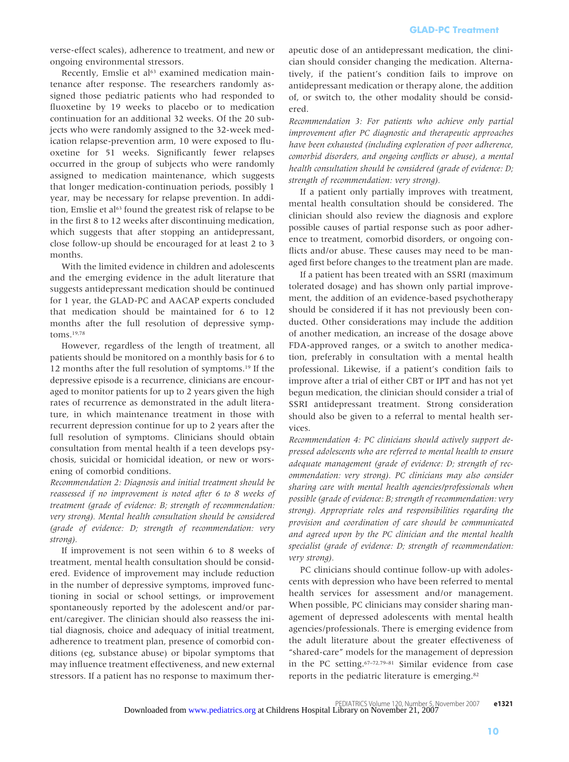verse-effect scales), adherence to treatment, and new or ongoing environmental stressors.

Recently, Emslie et al<sup>63</sup> examined medication maintenance after response. The researchers randomly assigned those pediatric patients who had responded to fluoxetine by 19 weeks to placebo or to medication continuation for an additional 32 weeks. Of the 20 subjects who were randomly assigned to the 32-week medication relapse-prevention arm, 10 were exposed to fluoxetine for 51 weeks. Significantly fewer relapses occurred in the group of subjects who were randomly assigned to medication maintenance, which suggests that longer medication-continuation periods, possibly 1 year, may be necessary for relapse prevention. In addition, Emslie et al<sup>63</sup> found the greatest risk of relapse to be in the first 8 to 12 weeks after discontinuing medication, which suggests that after stopping an antidepressant, close follow-up should be encouraged for at least 2 to 3 months.

With the limited evidence in children and adolescents and the emerging evidence in the adult literature that suggests antidepressant medication should be continued for 1 year, the GLAD-PC and AACAP experts concluded that medication should be maintained for 6 to 12 months after the full resolution of depressive symptoms.19,78

However, regardless of the length of treatment, all patients should be monitored on a monthly basis for 6 to 12 months after the full resolution of symptoms.19 If the depressive episode is a recurrence, clinicians are encouraged to monitor patients for up to 2 years given the high rates of recurrence as demonstrated in the adult literature, in which maintenance treatment in those with recurrent depression continue for up to 2 years after the full resolution of symptoms. Clinicians should obtain consultation from mental health if a teen develops psychosis, suicidal or homicidal ideation, or new or worsening of comorbid conditions.

*Recommendation 2: Diagnosis and initial treatment should be reassessed if no improvement is noted after 6 to 8 weeks of treatment (grade of evidence: B; strength of recommendation: very strong). Mental health consultation should be considered (grade of evidence: D; strength of recommendation: very strong).*

If improvement is not seen within 6 to 8 weeks of treatment, mental health consultation should be considered. Evidence of improvement may include reduction in the number of depressive symptoms, improved functioning in social or school settings, or improvement spontaneously reported by the adolescent and/or parent/caregiver. The clinician should also reassess the initial diagnosis, choice and adequacy of initial treatment, adherence to treatment plan, presence of comorbid conditions (eg, substance abuse) or bipolar symptoms that may influence treatment effectiveness, and new external stressors. If a patient has no response to maximum therapeutic dose of an antidepressant medication, the clinician should consider changing the medication. Alternatively, if the patient's condition fails to improve on antidepressant medication or therapy alone, the addition of, or switch to, the other modality should be considered.

*Recommendation 3: For patients who achieve only partial improvement after PC diagnostic and therapeutic approaches have been exhausted (including exploration of poor adherence, comorbid disorders, and ongoing conflicts or abuse), a mental health consultation should be considered (grade of evidence: D; strength of recommendation: very strong).*

If a patient only partially improves with treatment, mental health consultation should be considered. The clinician should also review the diagnosis and explore possible causes of partial response such as poor adherence to treatment, comorbid disorders, or ongoing conflicts and/or abuse. These causes may need to be managed first before changes to the treatment plan are made.

If a patient has been treated with an SSRI (maximum tolerated dosage) and has shown only partial improvement, the addition of an evidence-based psychotherapy should be considered if it has not previously been conducted. Other considerations may include the addition of another medication, an increase of the dosage above FDA-approved ranges, or a switch to another medication, preferably in consultation with a mental health professional. Likewise, if a patient's condition fails to improve after a trial of either CBT or IPT and has not yet begun medication, the clinician should consider a trial of SSRI antidepressant treatment. Strong consideration should also be given to a referral to mental health services.

*Recommendation 4: PC clinicians should actively support depressed adolescents who are referred to mental health to ensure adequate management (grade of evidence: D; strength of recommendation: very strong). PC clinicians may also consider sharing care with mental health agencies/professionals when possible (grade of evidence: B; strength of recommendation: very strong). Appropriate roles and responsibilities regarding the provision and coordination of care should be communicated and agreed upon by the PC clinician and the mental health specialist (grade of evidence: D; strength of recommendation: very strong).*

PC clinicians should continue follow-up with adolescents with depression who have been referred to mental health services for assessment and/or management. When possible, PC clinicians may consider sharing management of depressed adolescents with mental health agencies/professionals. There is emerging evidence from the adult literature about the greater effectiveness of "shared-care" models for the management of depression in the PC setting.67–72,79–81 Similar evidence from case reports in the pediatric literature is emerging.82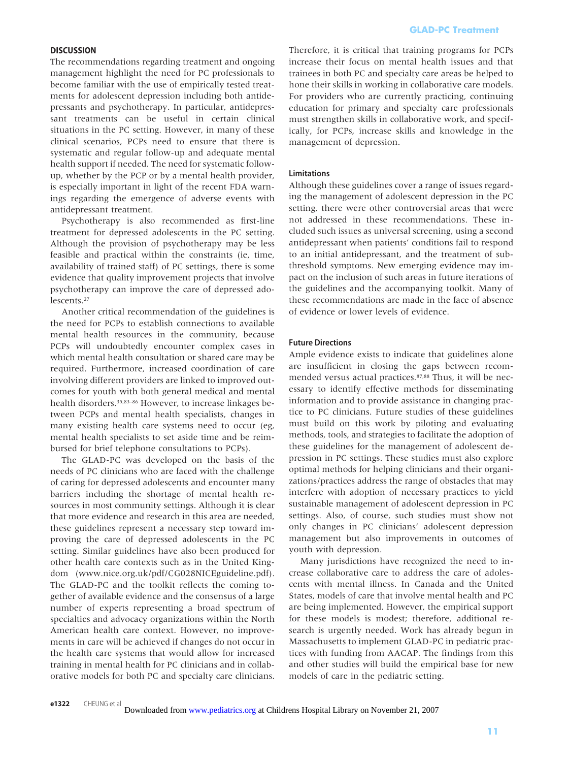### **DISCUSSION**

The recommendations regarding treatment and ongoing management highlight the need for PC professionals to become familiar with the use of empirically tested treatments for adolescent depression including both antidepressants and psychotherapy. In particular, antidepressant treatments can be useful in certain clinical situations in the PC setting. However, in many of these clinical scenarios, PCPs need to ensure that there is systematic and regular follow-up and adequate mental health support if needed. The need for systematic followup, whether by the PCP or by a mental health provider, is especially important in light of the recent FDA warnings regarding the emergence of adverse events with antidepressant treatment.

Psychotherapy is also recommended as first-line treatment for depressed adolescents in the PC setting. Although the provision of psychotherapy may be less feasible and practical within the constraints (ie, time, availability of trained staff) of PC settings, there is some evidence that quality improvement projects that involve psychotherapy can improve the care of depressed adolescents.27

Another critical recommendation of the guidelines is the need for PCPs to establish connections to available mental health resources in the community, because PCPs will undoubtedly encounter complex cases in which mental health consultation or shared care may be required. Furthermore, increased coordination of care involving different providers are linked to improved outcomes for youth with both general medical and mental health disorders.35,83–86 However, to increase linkages between PCPs and mental health specialists, changes in many existing health care systems need to occur (eg, mental health specialists to set aside time and be reimbursed for brief telephone consultations to PCPs).

The GLAD-PC was developed on the basis of the needs of PC clinicians who are faced with the challenge of caring for depressed adolescents and encounter many barriers including the shortage of mental health resources in most community settings. Although it is clear that more evidence and research in this area are needed, these guidelines represent a necessary step toward improving the care of depressed adolescents in the PC setting. Similar guidelines have also been produced for other health care contexts such as in the United Kingdom (www.nice.org.uk/pdf/CG028NICEguideline.pdf). The GLAD-PC and the toolkit reflects the coming together of available evidence and the consensus of a large number of experts representing a broad spectrum of specialties and advocacy organizations within the North American health care context. However, no improvements in care will be achieved if changes do not occur in the health care systems that would allow for increased training in mental health for PC clinicians and in collaborative models for both PC and specialty care clinicians.

Therefore, it is critical that training programs for PCPs increase their focus on mental health issues and that trainees in both PC and specialty care areas be helped to hone their skills in working in collaborative care models. For providers who are currently practicing, continuing education for primary and specialty care professionals must strengthen skills in collaborative work, and specifically, for PCPs, increase skills and knowledge in the management of depression.

## **Limitations**

Although these guidelines cover a range of issues regarding the management of adolescent depression in the PC setting, there were other controversial areas that were not addressed in these recommendations. These included such issues as universal screening, using a second antidepressant when patients' conditions fail to respond to an initial antidepressant, and the treatment of subthreshold symptoms. New emerging evidence may impact on the inclusion of such areas in future iterations of the guidelines and the accompanying toolkit. Many of these recommendations are made in the face of absence of evidence or lower levels of evidence.

### **Future Directions**

Ample evidence exists to indicate that guidelines alone are insufficient in closing the gaps between recommended versus actual practices.87,88 Thus, it will be necessary to identify effective methods for disseminating information and to provide assistance in changing practice to PC clinicians. Future studies of these guidelines must build on this work by piloting and evaluating methods, tools, and strategies to facilitate the adoption of these guidelines for the management of adolescent depression in PC settings. These studies must also explore optimal methods for helping clinicians and their organizations/practices address the range of obstacles that may interfere with adoption of necessary practices to yield sustainable management of adolescent depression in PC settings. Also, of course, such studies must show not only changes in PC clinicians' adolescent depression management but also improvements in outcomes of youth with depression.

Many jurisdictions have recognized the need to increase collaborative care to address the care of adolescents with mental illness. In Canada and the United States, models of care that involve mental health and PC are being implemented. However, the empirical support for these models is modest; therefore, additional research is urgently needed. Work has already begun in Massachusetts to implement GLAD-PC in pediatric practices with funding from AACAP. The findings from this and other studies will build the empirical base for new models of care in the pediatric setting.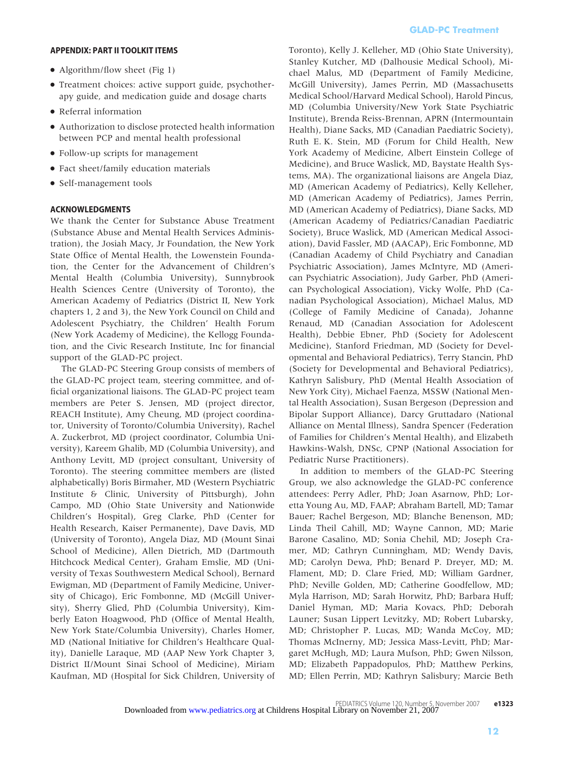### **APPENDIX: PART II TOOLKIT ITEMS**

- Algorithm/flow sheet (Fig 1)
- Treatment choices: active support guide, psychotherapy guide, and medication guide and dosage charts
- Referral information
- Authorization to disclose protected health information between PCP and mental health professional
- Follow-up scripts for management
- Fact sheet/family education materials
- Self-management tools

### **ACKNOWLEDGMENTS**

We thank the Center for Substance Abuse Treatment (Substance Abuse and Mental Health Services Administration), the Josiah Macy, Jr Foundation, the New York State Office of Mental Health, the Lowenstein Foundation, the Center for the Advancement of Children's Mental Health (Columbia University), Sunnybrook Health Sciences Centre (University of Toronto), the American Academy of Pediatrics (District II, New York chapters 1, 2 and 3), the New York Council on Child and Adolescent Psychiatry, the Children' Health Forum (New York Academy of Medicine), the Kellogg Foundation, and the Civic Research Institute, Inc for financial support of the GLAD-PC project.

The GLAD-PC Steering Group consists of members of the GLAD-PC project team, steering committee, and official organizational liaisons. The GLAD-PC project team members are Peter S. Jensen, MD (project director, REACH Institute), Amy Cheung, MD (project coordinator, University of Toronto/Columbia University), Rachel A. Zuckerbrot, MD (project coordinator, Columbia University), Kareem Ghalib, MD (Columbia University), and Anthony Levitt, MD (project consultant, University of Toronto). The steering committee members are (listed alphabetically) Boris Birmaher, MD (Western Psychiatric Institute & Clinic, University of Pittsburgh), John Campo, MD (Ohio State University and Nationwide Children's Hospital), Greg Clarke, PhD (Center for Health Research, Kaiser Permanente), Dave Davis, MD (University of Toronto), Angela Diaz, MD (Mount Sinai School of Medicine), Allen Dietrich, MD (Dartmouth Hitchcock Medical Center), Graham Emslie, MD (University of Texas Southwestern Medical School), Bernard Ewigman, MD (Department of Family Medicine, University of Chicago), Eric Fombonne, MD (McGill University), Sherry Glied, PhD (Columbia University), Kimberly Eaton Hoagwood, PhD (Office of Mental Health, New York State/Columbia University), Charles Homer, MD (National Initiative for Children's Healthcare Quality), Danielle Laraque, MD (AAP New York Chapter 3, District II/Mount Sinai School of Medicine), Miriam Kaufman, MD (Hospital for Sick Children, University of Toronto), Kelly J. Kelleher, MD (Ohio State University), Stanley Kutcher, MD (Dalhousie Medical School), Michael Malus, MD (Department of Family Medicine, McGill University), James Perrin, MD (Massachusetts Medical School/Harvard Medical School), Harold Pincus, MD (Columbia University/New York State Psychiatric Institute), Brenda Reiss-Brennan, APRN (Intermountain Health), Diane Sacks, MD (Canadian Paediatric Society), Ruth E. K. Stein, MD (Forum for Child Health, New York Academy of Medicine, Albert Einstein College of Medicine), and Bruce Waslick, MD, Baystate Health Systems, MA). The organizational liaisons are Angela Diaz, MD (American Academy of Pediatrics), Kelly Kelleher, MD (American Academy of Pediatrics), James Perrin, MD (American Academy of Pediatrics), Diane Sacks, MD (American Academy of Pediatrics/Canadian Paediatric Society), Bruce Waslick, MD (American Medical Association), David Fassler, MD (AACAP), Eric Fombonne, MD (Canadian Academy of Child Psychiatry and Canadian Psychiatric Association), James McIntyre, MD (American Psychiatric Association), Judy Garber, PhD (American Psychological Association), Vicky Wolfe, PhD (Canadian Psychological Association), Michael Malus, MD (College of Family Medicine of Canada), Johanne Renaud, MD (Canadian Association for Adolescent Health), Debbie Ebner, PhD (Society for Adolescent Medicine), Stanford Friedman, MD (Society for Developmental and Behavioral Pediatrics), Terry Stancin, PhD (Society for Developmental and Behavioral Pediatrics), Kathryn Salisbury, PhD (Mental Health Association of New York City), Michael Faenza, MSSW (National Mental Health Association), Susan Bergeson (Depression and Bipolar Support Alliance), Darcy Gruttadaro (National Alliance on Mental Illness), Sandra Spencer (Federation of Families for Children's Mental Health), and Elizabeth Hawkins-Walsh, DNSc, CPNP (National Association for Pediatric Nurse Practitioners).

In addition to members of the GLAD-PC Steering Group, we also acknowledge the GLAD-PC conference attendees: Perry Adler, PhD; Joan Asarnow, PhD; Loretta Young Au, MD, FAAP; Abraham Bartell, MD; Tamar Bauer; Rachel Bergeson, MD; Blanche Benenson, MD; Linda Theil Cahill, MD; Wayne Cannon, MD; Marie Barone Casalino, MD; Sonia Chehil, MD; Joseph Cramer, MD; Cathryn Cunningham, MD; Wendy Davis, MD; Carolyn Dewa, PhD; Benard P. Dreyer, MD; M. Flament, MD; D. Clare Fried, MD; William Gardner, PhD; Neville Golden, MD; Catherine Goodfellow, MD; Myla Harrison, MD; Sarah Horwitz, PhD; Barbara Huff; Daniel Hyman, MD; Maria Kovacs, PhD; Deborah Launer; Susan Lippert Levitzky, MD; Robert Lubarsky, MD; Christopher P. Lucas, MD; Wanda McCoy, MD; Thomas McInerny, MD; Jessica Mass-Levitt, PhD; Margaret McHugh, MD; Laura Mufson, PhD; Gwen Nilsson, MD; Elizabeth Pappadopulos, PhD; Matthew Perkins, MD; Ellen Perrin, MD; Kathryn Salisbury; Marcie Beth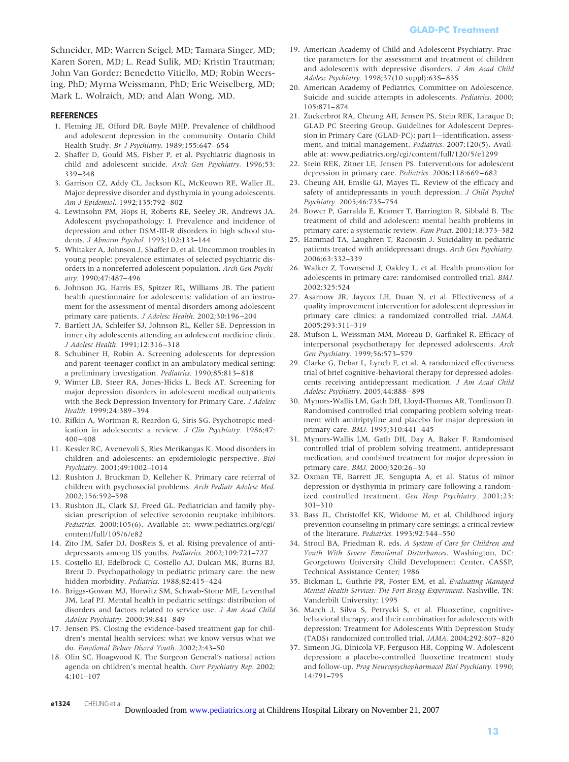Schneider, MD; Warren Seigel, MD; Tamara Singer, MD; Karen Soren, MD; L. Read Sulik, MD; Kristin Trautman; John Van Gorder; Benedetto Vitiello, MD; Robin Weersing, PhD; Myrna Weissmann, PhD; Eric Weiselberg, MD; Mark L. Wolraich, MD; and Alan Wong, MD.

### **REFERENCES**

- 1. Fleming JE, Offord DR, Boyle MHP. Prevalence of childhood and adolescent depression in the community. Ontario Child Health Study. *Br J Psychiatry.* 1989;155:647– 654
- 2. Shaffer D, Gould MS, Fisher P, et al. Psychiatric diagnosis in child and adolescent suicide. *Arch Gen Psychiatry.* 1996;53: 339 –348
- 3. Garrison CZ, Addy CL, Jackson KL, McKeown RE, Waller JL. Major depressive disorder and dysthymia in young adolescents. *Am J Epidemiol.* 1992;135:792– 802
- 4. Lewinsohn PM, Hops H, Roberts RE, Seeley JR, Andrews JA. Adolescent psychopathology: I. Prevalence and incidence of depression and other DSM-III-R disorders in high school students. *J Abnorm Psychol.* 1993;102:133–144
- 5. Whitaker A, Johnson J, Shaffer D, et al. Uncommon troubles in young people: prevalence estimates of selected psychiatric disorders in a nonreferred adolescent population. *Arch Gen Psychiatry.* 1990;47:487– 496
- 6. Johnson JG, Harris ES, Spitzer RL, Williams JB. The patient health questionnaire for adolescents: validation of an instrument for the assessment of mental disorders among adolescent primary care patients. *J Adolesc Health.* 2002;30:196 –204
- 7. Bartlett JA, Schleifer SJ, Johnson RL, Keller SE. Depression in inner city adolescents attending an adolescent medicine clinic. *J Adolesc Health.* 1991;12:316 –318
- 8. Schubiner H, Robin A. Screening adolescents for depression and parent-teenager conflict in an ambulatory medical setting: a preliminary investigation. *Pediatrics.* 1990;85:813– 818
- 9. Winter LB, Steer RA, Jones-Hicks L, Beck AT. Screening for major depression disorders in adolescent medical outpatients with the Beck Depression Inventory for Primary Care. *J Adolesc Health.* 1999;24:389 –394
- 10. Rifkin A, Wortman R, Reardon G, Siris SG. Psychotropic medication in adolescents: a review. *J Clin Psychiatry.* 1986;47:  $400 - 408$
- 11. Kessler RC, Avenevoli S, Ries Merikangas K. Mood disorders in children and adolescents: an epidemiologic perspective. *Biol Psychiatry.* 2001;49:1002–1014
- 12. Rushton J, Bruckman D, Kelleher K. Primary care referral of children with psychosocial problems. *Arch Pediatr Adolesc Med.* 2002;156:592–598
- 13. Rushton JL, Clark SJ, Freed GL. Pediatrician and family physician prescription of selective serotonin reuptake inhibitors. *Pediatrics.* 2000;105(6). Available at: www.pediatrics.org/cgi/ content/full/105/6/e82
- 14. Zito JM, Safer DJ, DosReis S, et al. Rising prevalence of antidepressants among US youths. *Pediatrics.* 2002;109:721–727
- 15. Costello EJ, Edelbrock C, Costello AJ, Dulcan MK, Burns BJ, Brent D. Psychopathology in pediatric primary care: the new hidden morbidity. *Pediatrics.* 1988;82:415– 424
- 16. Briggs-Gowan MJ, Horwitz SM, Schwab-Stone ME, Leventhal JM, Leaf PJ. Mental health in pediatric settings: distribution of disorders and factors related to service use. *J Am Acad Child Adolesc Psychiatry.* 2000;39:841– 849
- 17. Jensen PS. Closing the evidence-based treatment gap for children's mental health services: what we know versus what we do. *Emotional Behav Disord Youth.* 2002;2:43–50
- 18. Olin SC, Hoagwood K. The Surgeon General's national action agenda on children's mental health. *Curr Psychiatry Rep.* 2002; 4:101–107
- 19. American Academy of Child and Adolescent Psychiatry. Practice parameters for the assessment and treatment of children and adolescents with depressive disorders. *J Am Acad Child Adolesc Psychiatry.* 1998;37(10 suppl):63S– 83S
- 20. American Academy of Pediatrics, Committee on Adolescence. Suicide and suicide attempts in adolescents. *Pediatrics.* 2000; 105:871– 874
- 21. Zuckerbrot RA, Cheung AH, Jensen PS, Stein REK, Laraque D; GLAD PC Steering Group. Guidelines for Adolescent Depression in Primary Care (GLAD-PC): part I—identification, assessment, and initial management. *Pediatrics.* 2007;120(5). Available at: www.pediatrics.org/cgi/content/full/120/5/e1299
- 22. Stein REK, Zitner LE, Jensen PS. Interventions for adolescent depression in primary care. *Pediatrics.* 2006;118:669 – 682
- 23. Cheung AH, Emslie GJ, Mayes TL. Review of the efficacy and safety of antidepressants in youth depression. *J Child Psychol Psychiatry.* 2005;46:735–754
- 24. Bower P, Garralda E, Kramer T, Harrington R, Sibbald B. The treatment of child and adolescent mental health problems in primary care: a systematic review. *Fam Pract.* 2001;18:373–382
- 25. Hammad TA, Laughren T, Racoosin J. Suicidality in pediatric patients treated with antidepressant drugs. *Arch Gen Psychiatry.* 2006;63:332–339
- 26. Walker Z, Townsend J, Oakley L, et al. Health promotion for adolescents in primary care: randomised controlled trial. *BMJ.* 2002;325:524
- 27. Asarnow JR, Jaycox LH, Duan N, et al. Effectiveness of a quality improvement intervention for adolescent depression in primary care clinics: a randomized controlled trial. *JAMA.* 2005;293:311–319
- 28. Mufson L, Weissman MM, Moreau D, Garfinkel R. Efficacy of interpersonal psychotherapy for depressed adolescents. *Arch Gen Psychiatry.* 1999;56:573–579
- 29. Clarke G, Debar L, Lynch F, et al. A randomized effectiveness trial of brief cognitive-behavioral therapy for depressed adolescents receiving antidepressant medication. *J Am Acad Child Adolesc Psychiatry.* 2005;44:888 – 898
- 30. Mynors-Wallis LM, Gath DH, Lloyd-Thomas AR, Tomlinson D. Randomised controlled trial comparing problem solving treatment with amitriptyline and placebo for major depression in primary care. *BMJ.* 1995;310:441– 445
- 31. Mynors-Wallis LM, Gath DH, Day A, Baker F. Randomised controlled trial of problem solving treatment, antidepressant medication, and combined treatment for major depression in primary care. *BMJ.* 2000;320:26 –30
- 32. Oxman TE, Barrett JE, Sengupta A, et al. Status of minor depression or dysthymia in primary care following a randomized controlled treatment. *Gen Hosp Psychiatry.* 2001;23: 301–310
- 33. Bass JL, Christoffel KK, Widome M, et al. Childhood injury prevention counseling in primary care settings: a critical review of the literature. *Pediatrics.* 1993;92:544 –550
- 34. Stroul BA, Friedman R, eds. *A System of Care for Children and Youth With Severe Emotional Disturbances*. Washington, DC: Georgetown University Child Development Center, CASSP, Technical Assistance Center; 1986
- 35. Bickman L, Guthrie PR, Foster EM, et al. *Evaluating Managed Mental Health Services: The Fort Bragg Experiment*. Nashville, TN: Vanderbilt University; 1995
- 36. March J, Silva S, Petrycki S, et al. Fluoxetine, cognitivebehavioral therapy, and their combination for adolescents with depression: Treatment for Adolescents With Depression Study (TADS) randomized controlled trial. *JAMA.* 2004;292:807– 820
- 37. Simeon JG, Dinicola VF, Ferguson HB, Copping W. Adolescent depression: a placebo-controlled fluoxetine treatment study and follow-up. *Prog Neuropsychopharmacol Biol Psychiatry.* 1990; 14:791–795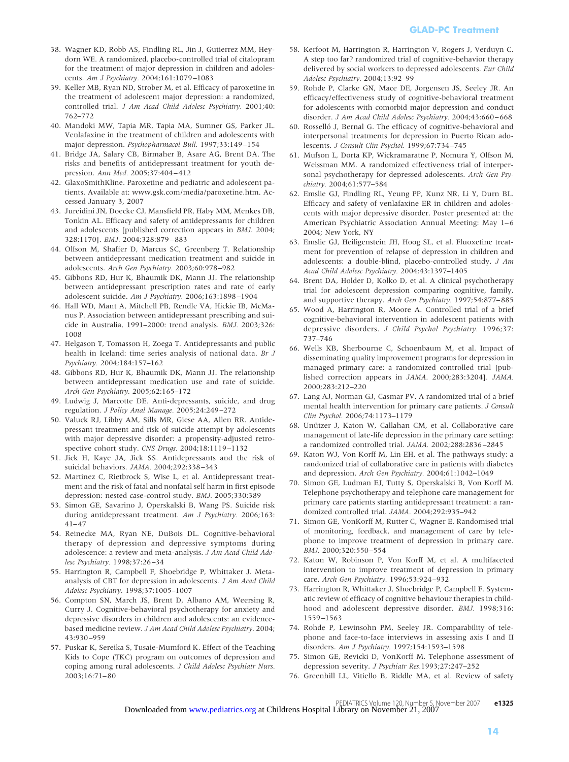- 38. Wagner KD, Robb AS, Findling RL, Jin J, Gutierrez MM, Heydorn WE. A randomized, placebo-controlled trial of citalopram for the treatment of major depression in children and adolescents. *Am J Psychiatry.* 2004;161:1079 –1083
- 39. Keller MB, Ryan ND, Strober M, et al. Efficacy of paroxetine in the treatment of adolescent major depression: a randomized, controlled trial. *J Am Acad Child Adolesc Psychiatry.* 2001;40: 762–772
- 40. Mandoki MW, Tapia MR, Tapia MA, Sumner GS, Parker JL. Venlafaxine in the treatment of children and adolescents with major depression. *Psychopharmacol Bull.* 1997;33:149 –154
- 41. Bridge JA, Salary CB, Birmaher B, Asare AG, Brent DA. The risks and benefits of antidepressant treatment for youth depression. *Ann Med.* 2005;37:404 – 412
- 42. GlaxoSmithKline. Paroxetine and pediatric and adolescent patients. Available at: www.gsk.com/media/paroxetine.htm. Accessed January 3, 2007
- 43. Jureidini JN, Doecke CJ, Mansfield PR, Haby MM, Menkes DB, Tonkin AL. Efficacy and safety of antidepressants for children and adolescents [published correction appears in *BMJ*. 2004; 328:1170]. *BMJ.* 2004;328:879 – 883
- 44. Olfson M, Shaffer D, Marcus SC, Greenberg T. Relationship between antidepressant medication treatment and suicide in adolescents. *Arch Gen Psychiatry.* 2003;60:978 –982
- 45. Gibbons RD, Hur K, Bhaumik DK, Mann JJ. The relationship between antidepressant prescription rates and rate of early adolescent suicide. *Am J Psychiatry.* 2006;163:1898 –1904
- 46. Hall WD, Mant A, Mitchell PB, Rendle VA, Hickie IB, McManus P. Association between antidepressant prescribing and suicide in Australia, 1991–2000: trend analysis. *BMJ.* 2003;326: 1008
- 47. Helgason T, Tomasson H, Zoega T. Antidepressants and public health in Iceland: time series analysis of national data. *Br J Psychiatry.* 2004;184:157–162
- 48. Gibbons RD, Hur K, Bhaumik DK, Mann JJ. The relationship between antidepressant medication use and rate of suicide. *Arch Gen Psychiatry.* 2005;62:165–172
- 49. Ludwig J, Marcotte DE. Anti-depressants, suicide, and drug regulation. *J Policy Anal Manage.* 2005;24:249 –272
- 50. Valuck RJ, Libby AM, Sills MR, Giese AA, Allen RR. Antidepressant treatment and risk of suicide attempt by adolescents with major depressive disorder: a propensity-adjusted retrospective cohort study. *CNS Drugs.* 2004;18:1119 –1132
- 51. Jick H, Kaye JA, Jick SS. Antidepressants and the risk of suicidal behaviors. *JAMA.* 2004;292:338 –343
- 52. Martinez C, Rietbrock S, Wise L, et al. Antidepressant treatment and the risk of fatal and nonfatal self harm in first episode depression: nested case-control study. *BMJ.* 2005;330:389
- 53. Simon GE, Savarino J, Operskalski B, Wang PS. Suicide risk during antidepressant treatment. *Am J Psychiatry.* 2006;163:  $41 - 47$
- 54. Reinecke MA, Ryan NE, DuBois DL. Cognitive-behavioral therapy of depression and depressive symptoms during adolescence: a review and meta-analysis. *J Am Acad Child Adolesc Psychiatry.* 1998;37:26 –34
- 55. Harrington R, Campbell F, Shoebridge P, Whittaker J. Metaanalysis of CBT for depression in adolescents. *J Am Acad Child Adolesc Psychiatry.* 1998;37:1005–1007
- 56. Compton SN, March JS, Brent D, Albano AM, Weersing R, Curry J. Cognitive-behavioral psychotherapy for anxiety and depressive disorders in children and adolescents: an evidencebased medicine review. *J Am Acad Child Adolesc Psychiatry.* 2004; 43:930 –959
- 57. Puskar K, Sereika S, Tusaie-Mumford K. Effect of the Teaching Kids to Cope (TKC) program on outcomes of depression and coping among rural adolescents. *J Child Adolesc Psychiatr Nurs.* 2003;16:71– 80
- 58. Kerfoot M, Harrington R, Harrington V, Rogers J, Verduyn C. A step too far? randomized trial of cognitive-behavior therapy delivered by social workers to depressed adolescents. *Eur Child Adolesc Psychiatry.* 2004;13:92–99
- 59. Rohde P, Clarke GN, Mace DE, Jorgensen JS, Seeley JR. An efficacy/effectiveness study of cognitive-behavioral treatment for adolescents with comorbid major depression and conduct disorder. *J Am Acad Child Adolesc Psychiatry*. 2004;43:660-668
- 60. Rosselló J, Bernal G. The efficacy of cognitive-behavioral and interpersonal treatments for depression in Puerto Rican adolescents. *J Consult Clin Psychol.* 1999;67:734 –745
- 61. Mufson L, Dorta KP, Wickramaratne P, Nomura Y, Olfson M, Weissman MM. A randomized effectiveness trial of interpersonal psychotherapy for depressed adolescents. *Arch Gen Psychiatry.* 2004;61:577–584
- 62. Emslie GJ, Findling RL, Yeung PP, Kunz NR, Li Y, Durn BL. Efficacy and safety of venlafaxine ER in children and adolescents with major depressive disorder. Poster presented at: the American Psychiatric Association Annual Meeting: May 1-6 2004; New York, NY
- 63. Emslie GJ, Heiligenstein JH, Hoog SL, et al. Fluoxetine treatment for prevention of relapse of depression in children and adolescents: a double-blind, placebo-controlled study. *J Am Acad Child Adolesc Psychiatry.* 2004;43:1397–1405
- 64. Brent DA, Holder D, Kolko D, et al. A clinical psychotherapy trial for adolescent depression comparing cognitive, family, and supportive therapy. *Arch Gen Psychiatry.* 1997;54:877– 885
- 65. Wood A, Harrington R, Moore A. Controlled trial of a brief cognitive-behavioral intervention in adolescent patients with depressive disorders. *J Child Psychol Psychiatry.* 1996;37: 737–746
- 66. Wells KB, Sherbourne C, Schoenbaum M, et al. Impact of disseminating quality improvement programs for depression in managed primary care: a randomized controlled trial [published correction appears in *JAMA*. 2000;283:3204]. *JAMA.* 2000;283:212–220
- 67. Lang AJ, Norman GJ, Casmar PV. A randomized trial of a brief mental health intervention for primary care patients. *J Consult Clin Psychol.* 2006;74:1173–1179
- 68. Unützer J, Katon W, Callahan CM, et al. Collaborative care management of late-life depression in the primary care setting: a randomized controlled trial. *JAMA.* 2002;288:2836 –2845
- 69. Katon WJ, Von Korff M, Lin EH, et al. The pathways study: a randomized trial of collaborative care in patients with diabetes and depression. *Arch Gen Psychiatry.* 2004;61:1042–1049
- 70. Simon GE, Ludman EJ, Tutty S, Operskalski B, Von Korff M. Telephone psychotherapy and telephone care management for primary care patients starting antidepressant treatment: a randomized controlled trial. *JAMA.* 2004;292:935–942
- 71. Simon GE, VonKorff M, Rutter C, Wagner E. Randomised trial of monitoring, feedback, and management of care by telephone to improve treatment of depression in primary care. *BMJ.* 2000;320:550 –554
- 72. Katon W, Robinson P, Von Korff M, et al. A multifaceted intervention to improve treatment of depression in primary care. *Arch Gen Psychiatry.* 1996;53:924 –932
- 73. Harrington R, Whittaker J, Shoebridge P, Campbell F. Systematic review of efficacy of cognitive behaviour therapies in childhood and adolescent depressive disorder. *BMJ.* 1998;316: 1559 –1563
- 74. Rohde P, Lewinsohn PM, Seeley JR. Comparability of telephone and face-to-face interviews in assessing axis I and II disorders. *Am J Psychiatry.* 1997;154:1593–1598
- 75. Simon GE, Revicki D, VonKorff M. Telephone assessment of depression severity. *J Psychiatr Res.*1993;27:247–252
- 76. Greenhill LL, Vitiello B, Riddle MA, et al. Review of safety

PEDIATRICS Volume 120, Number 5, November 2007 **e1325** Downloaded from www.pediatrics.org at Childrens Hospital Library on November 21, 2007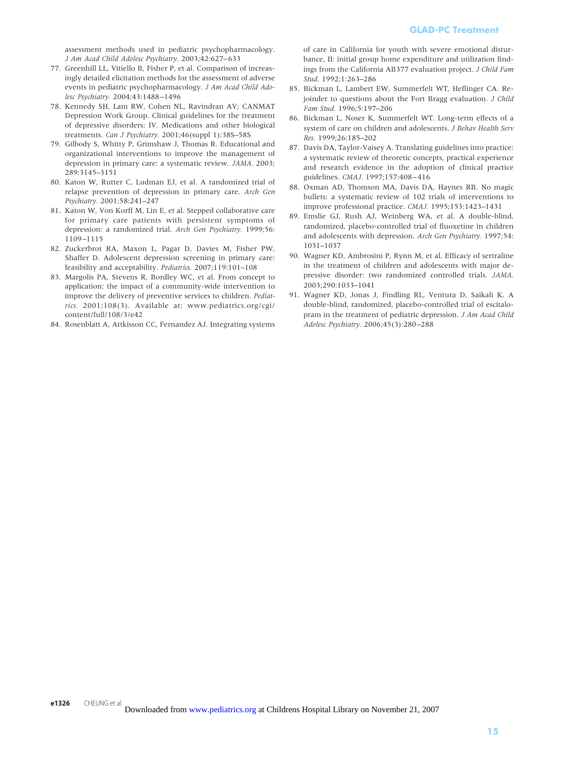assessment methods used in pediatric psychopharmacology. *J Am Acad Child Adolesc Psychiatry.* 2003;42:627– 633

- 77. Greenhill LL, Vitiello B, Fisher P, et al. Comparison of increasingly detailed elicitation methods for the assessment of adverse events in pediatric psychopharmacology. *J Am Acad Child Adolesc Psychiatry.* 2004;43:1488 –1496
- 78. Kennedy SH, Lam RW, Cohen NL, Ravindran AV; CANMAT Depression Work Group. Clinical guidelines for the treatment of depressive disorders: IV. Medications and other biological treatments. *Can J Psychiatry.* 2001;46(suppl 1):38S–58S
- 79. Gilbody S, Whitty P, Grimshaw J, Thomas R. Educational and organizational interventions to improve the management of depression in primary care: a systematic review. *JAMA.* 2003; 289:3145–3151
- 80. Katon W, Rutter C, Ludman EJ, et al. A randomized trial of relapse prevention of depression in primary care. *Arch Gen Psychiatry.* 2001;58:241–247
- 81. Katon W, Von Korff M, Lin E, et al. Stepped collaborative care for primary care patients with persistent symptoms of depression: a randomized trial. *Arch Gen Psychiatry.* 1999;56: 1109 –1115
- 82. Zuckerbrot RA, Maxon L, Pagar D, Davies M, Fisher PW, Shaffer D. Adolescent depression screening in primary care: feasibility and acceptability. *Pediatrics.* 2007;119:101–108
- 83. Margolis PA, Stevens R, Bordley WC, et al. From concept to application: the impact of a community-wide intervention to improve the delivery of preventive services to children. *Pediatrics.* 2001;108(3). Available at: www.pediatrics.org/cgi/ content/full/108/3/e42
- 84. Rosenblatt A, Attkisson CC, Fernandez AJ. Integrating systems

of care in California for youth with severe emotional disturbance, II: initial group home expenditure and utilization findings from the California AB377 evaluation project. *J Child Fam Stud.* 1992;1:263–286

- 85. Bickman L, Lambert EW, Summerfelt WT, Heflinger CA. Rejoinder to questions about the Fort Bragg evaluation. *J Child Fam Stud.* 1996;5:197–206
- 86. Bickman L, Noser K, Summerfelt WT. Long-term effects of a system of care on children and adolescents. *J Behav Health Serv Res.* 1999;26:185–202
- 87. Davis DA, Taylor-Vaisey A. Translating guidelines into practice: a systematic review of theoretic concepts, practical experience and research evidence in the adoption of clinical practice guidelines. *CMAJ.* 1997;157:408 – 416
- 88. Oxman AD, Thomson MA, Davis DA, Haynes RB. No magic bullets: a systematic review of 102 trials of interventions to improve professional practice. *CMAJ.* 1995;153:1423–1431
- 89. Emslie GJ, Rush AJ, Weinberg WA, et al. A double-blind, randomized, placebo-controlled trial of fluoxetine in children and adolescents with depression. *Arch Gen Psychiatry.* 1997;54: 1031–1037
- 90. Wagner KD, Ambrosini P, Rynn M, et al. Efficacy of sertraline in the treatment of children and adolescents with major depressive disorder: two randomized controlled trials. *JAMA.* 2003;290:1033–1041
- 91. Wagner KD, Jonas J, Findling RL, Ventura D, Saikali K. A double-blind, randomized, placebo-controlled trial of escitalopram in the treatment of pediatric depression. *J Am Acad Child Adolesc Psychiatry.* 2006;45(3):280 –288